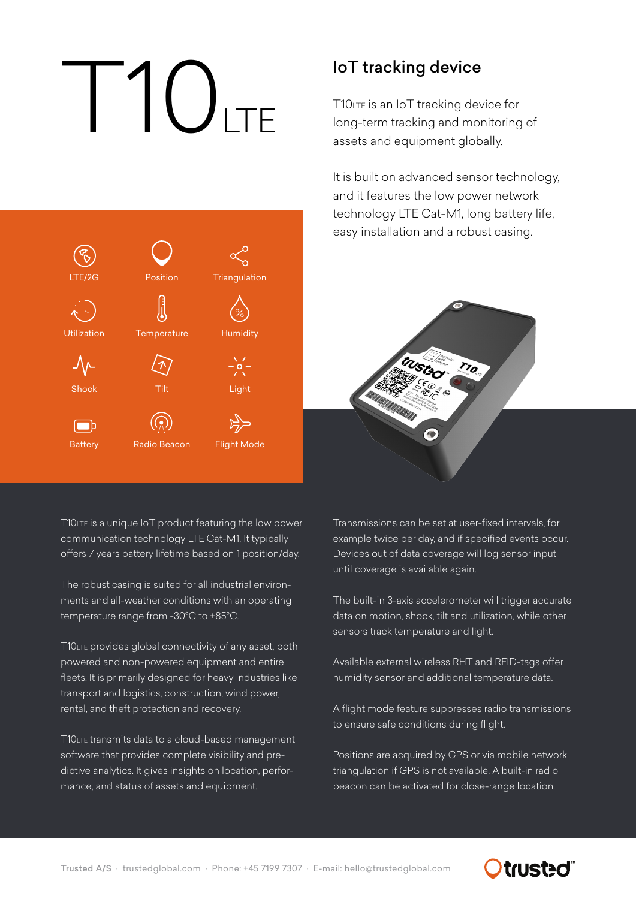# $\vert \int_0^1 \vert \int_{1 \top F}$

Position

**Triangulation** 

Humidity

Light

Flight Mode

**Temperature** 

Tilt

Radio Beacon

LTE/2G

Utilization

Shock

⊿∕∖

**Battery** 

 $\Box$ 

### IoT tracking device

T10LTE is an IoT tracking device for long-term tracking and monitoring of assets and equipment globally.

It is built on advanced sensor technology, and it features the low power network technology LTE Cat-M1, long battery life, easy installation and a robust casing.



T10LTE is a unique IoT product featuring the low power communication technology LTE Cat-M1. It typically offers 7 years battery lifetime based on 1 position/day.

The robust casing is suited for all industrial environments and all-weather conditions with an operating temperature range from -30°C to +85°C.

T10LTE provides global connectivity of any asset, both powered and non-powered equipment and entire fleets. It is primarily designed for heavy industries like transport and logistics, construction, wind power, rental, and theft protection and recovery.

T10LTE transmits data to a cloud-based management software that provides complete visibility and predictive analytics. It gives insights on location, performance, and status of assets and equipment.

Transmissions can be set at user-fixed intervals, for example twice per day, and if specified events occur. Devices out of data coverage will log sensor input until coverage is available again.

The built-in 3-axis accelerometer will trigger accurate data on motion, shock, tilt and utilization, while other sensors track temperature and light.

Available external wireless RHT and RFID-tags offer humidity sensor and additional temperature data.

A flight mode feature suppresses radio transmissions to ensure safe conditions during flight.

Positions are acquired by GPS or via mobile network triangulation if GPS is not available. A built-in radio beacon can be activated for close-range location.